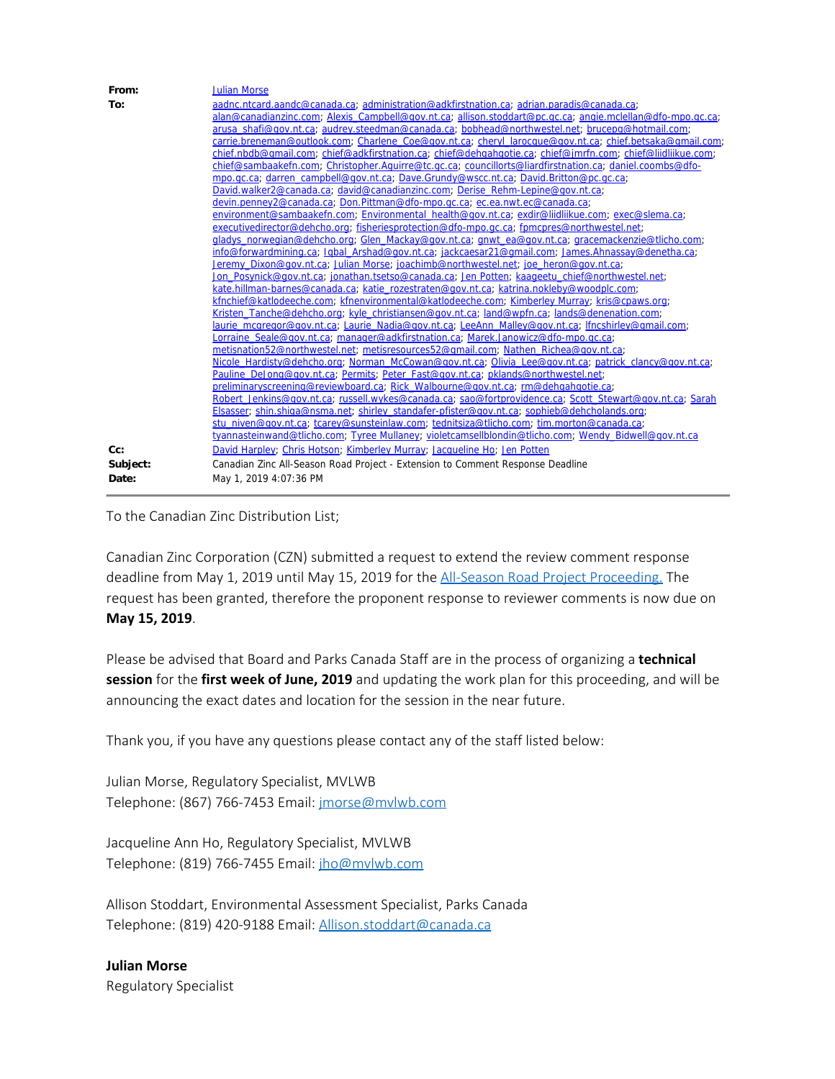| From:    | <b>Julian Morse</b>                                                                                                                                                                        |
|----------|--------------------------------------------------------------------------------------------------------------------------------------------------------------------------------------------|
| To:      | aadnc.ntcard.aandc@canada.ca; administration@adkfirstnation.ca; adrian.paradis@canada.ca;                                                                                                  |
|          | alan@canadianzinc.com; Alexis Campbell@gov.nt.ca; allison.stoddart@pc.gc.ca; angie.mclellan@dfo-mpo.gc.ca;                                                                                 |
|          | arusa shafi@gov.nt.ca: audrev.steedman@canada.ca: bobhead@northwestel.net: brucepg@hotmail.com:                                                                                            |
|          | carrie.breneman@outlook.com; Charlene Coe@gov.nt.ca; cheryl larocque@gov.nt.ca; chief.betsaka@gmail.com;                                                                                   |
|          | chief.nbdb@qmail.com; chief@adkfirstnation.ca; chief@dehgahgotie.ca; chief@jmrfn.com; chief@liidliikue.com;                                                                                |
|          | chief@sambaakefn.com; Christopher.Aquirre@tc.gc.ca; councillorts@liardfirstnation.ca; daniel.coombs@dfo-                                                                                   |
|          | mpo.gc.ca; darren_campbell@gov.nt.ca; Dave.Grundy@wscc.nt.ca; David.Britton@pc.gc.ca;                                                                                                      |
|          | David.walker2@canada.ca; david@canadianzinc.com; Derise Rehm-Lepine@gov.nt.ca;                                                                                                             |
|          | devin.penney2@canada.ca; Don.Pittman@dfo-mpo.gc.ca; ec.ea.nwt.ec@canada.ca;                                                                                                                |
|          | environment@sambaakefn.com; Environmental health@gov.nt.ca; exdir@liidliikue.com; exec@slema.ca;                                                                                           |
|          | executivedirector@dehcho.org; fisheriesprotection@dfo-mpo.gc.ca; fpmcpres@northwestel.net;                                                                                                 |
|          | gladys norwegian@dehcho.org; Glen Mackay@gov.nt.ca; gnwt ea@gov.nt.ca; gracemackenzie@tlicho.com;                                                                                          |
|          | info@forwardmining.ca; Igbal Arshad@gov.nt.ca; jackcaesar21@gmail.com; James.Ahnassay@denetha.ca;                                                                                          |
|          | Jeremy Dixon@gov.nt.ca; Julian Morse; joachimb@northwestel.net; joe heron@gov.nt.ca;                                                                                                       |
|          | Jon Posynick@gov.nt.ca; jonathan.tsetso@canada.ca; Jen Potten; kaageetu chief@northwestel.net;<br>kate.hillman-barnes@canada.ca; katie_rozestraten@gov.nt.ca; katrina.nokleby@woodplc.com; |
|          | kfnchief@katlodeeche.com; kfnenvironmental@katlodeeche.com; Kimberley Murray; kris@cpaws.org;                                                                                              |
|          | Kristen Tanche@dehcho.org; kyle_christiansen@gov.nt.ca; land@wpfn.ca; lands@denenation.com;                                                                                                |
|          | laurie mcgregor@gov.nt.ca; Laurie Nadia@gov.nt.ca; LeeAnn Malley@gov.nt.ca; lfncshirley@gmail.com;                                                                                         |
|          | Lorraine Seale@gov.nt.ca, manager@adkfirstnation.ca, Marek.Janowicz@dfo-mpo.gc.ca,                                                                                                         |
|          | metisnation52@northwestel.net; metisresources52@qmail.com; Nathen Richea@qov.nt.ca;                                                                                                        |
|          | Nicole Hardisty@dehcho.org; Norman McCowan@gov.nt.ca; Olivia Lee@gov.nt.ca; patrick clancy@gov.nt.ca;                                                                                      |
|          | Pauline DeJong@gov.nt.ca; Permits; Peter Fast@gov.nt.ca; pklands@northwestel.net;                                                                                                          |
|          | preliminaryscreening@reviewboard.ca; Rick Walbourne@gov.nt.ca; rm@dehgahgotie.ca;                                                                                                          |
|          | Robert Jenkins@gov.nt.ca; russell.wykes@canada.ca; sao@fortprovidence.ca; Scott Stewart@gov.nt.ca; Sarah                                                                                   |
|          | Elsasser; shin.shiga@nsma.net; shirley standafer-pfister@gov.nt.ca; sophieb@dehcholands.org;                                                                                               |
|          | stu niven@gov.nt.ca; tcarey@sunsteinlaw.com; tednitsiza@tlicho.com; tim.morton@canada.ca;                                                                                                  |
|          | tyannasteinwand@tlicho.com; Tyree Mullaney; violetcamsellblondin@tlicho.com; Wendy Bidwell@gov.nt.ca                                                                                       |
| $Cc$ :   | David Harpley; Chris Hotson; Kimberley Murray; Jacqueline Ho; Jen Potten                                                                                                                   |
| Subject: | Canadian Zinc All-Season Road Project - Extension to Comment Response Deadline                                                                                                             |
| Date:    | May 1, 2019 4:07:36 PM                                                                                                                                                                     |

To the Canadian Zinc Distribution List;

Canadian Zinc Corporation (CZN) submitted a request to extend the review comment response deadline from May 1, 2019 until May 15, 2019 for the [All-Season Road Project Proceeding.](http://lwbors.yk.com/LWB_IMS/ReviewComment.aspx?appid=12674) The request has been granted, therefore the proponent response to reviewer comments is now due on **May 15, 2019**.

Please be advised that Board and Parks Canada Staff are in the process of organizing a **technical session** for the **first week of June, 2019** and updating the work plan for this proceeding, and will be announcing the exact dates and location for the session in the near future.

Thank you, if you have any questions please contact any of the staff listed below:

Julian Morse, Regulatory Specialist, MVLWB Telephone: (867) 766-7453 Email: [jmorse@mvlwb.com](mailto:jmorse@mvlwb.com)

Jacqueline Ann Ho, Regulatory Specialist, MVLWB Telephone: (819) 766-7455 Email: [jho@mvlwb.com](mailto:jho@mvlwb.com)

Allison Stoddart, Environmental Assessment Specialist, Parks Canada Telephone: (819) 420-9188 Email: [Allison.stoddart@canada.ca](mailto:Allison.stoddart@canada.ca)

**Julian Morse** Regulatory Specialist